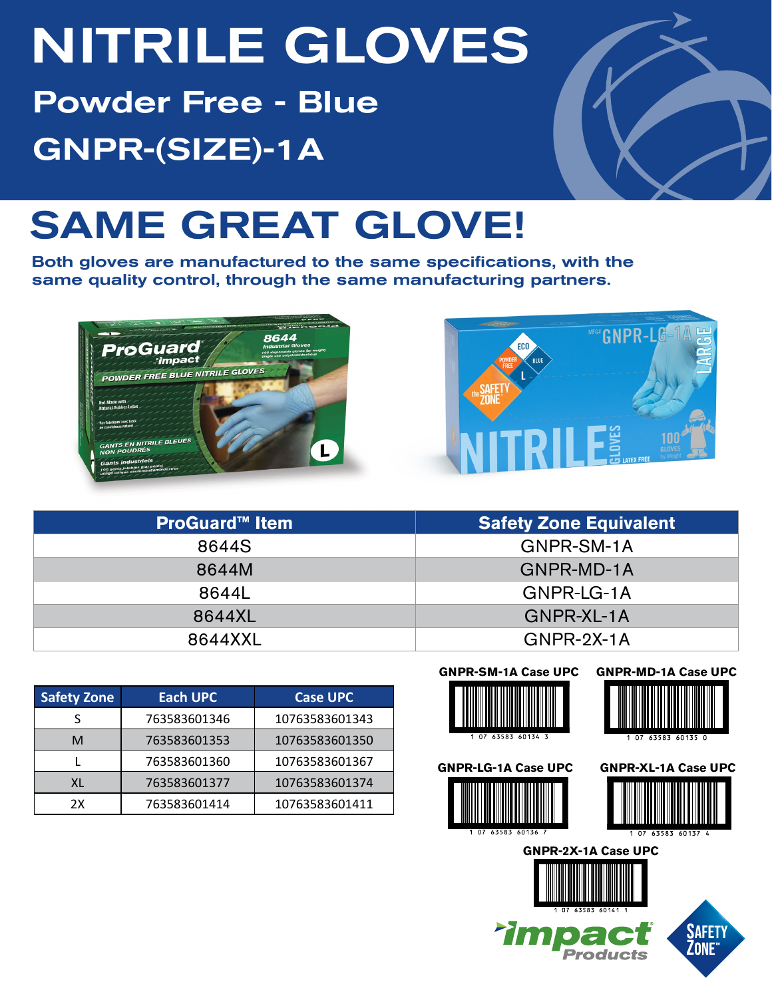# NITRILE GLOVES

Powder Free - Blue GNPR-(SIZE)-1A



## SAME GREAT GLOVE!

Both gloves are manufactured to the same specifications, with the same quality control, through the same manufacturing partners.





| <b>ProGuard™ Item</b> | <b>Safety Zone Equivalent</b> |  |  |  |  |
|-----------------------|-------------------------------|--|--|--|--|
| 8644S                 | GNPR-SM-1A                    |  |  |  |  |
| 8644M                 | GNPR-MD-1A                    |  |  |  |  |
| 8644L                 | GNPR-LG-1A                    |  |  |  |  |
| 8644XL                | GNPR-XL-1A                    |  |  |  |  |
| 8644XXL               | $GNPR-2X-1A$                  |  |  |  |  |

| <b>Safety Zone</b> | <b>Each UPC</b> | <b>Case UPC</b> |
|--------------------|-----------------|-----------------|
|                    | 763583601346    | 10763583601343  |
| м                  | 763583601353    | 10763583601350  |
|                    | 763583601360    | 10763583601367  |
| XL                 | 763583601377    | 10763583601374  |
| 2X                 | 763583601414    | 10763583601411  |

#### **GNPR-SM-1A Case UPC GNPR-MD-1A Case UPC**





**GNPR-LG-1A Case UPC**



**Tim** 





**Products**